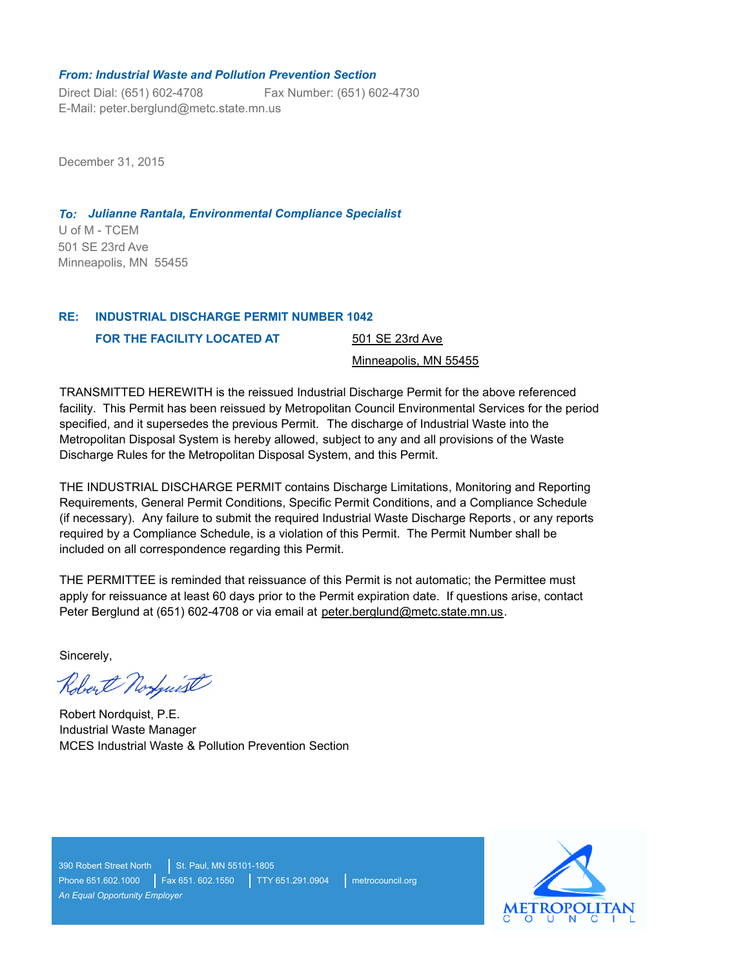#### *From: Industrial Waste and Pollution Prevention Section*

Direct Dial: (651) 602-4708 E-Mail: peter.berglund@metc.state.mn.us Fax Number: (651) 602-4730

December 31, 2015

# *To: Julianne Rantala, Environmental Compliance Specialist*

U of M - TCEM 501 SE 23rd Ave Minneapolis, MN 55455

#### **INDUSTRIAL DISCHARGE PERMIT NUMBER 1042 RE:**

**FOR THE FACILITY LOCATED AT** 

501 SE 23rd Ave

#### Minneapolis, MN 55455

TRANSMITTED HEREWITH is the reissued Industrial Discharge Permit for the above referenced facility. This Permit has been reissued by Metropolitan Council Environmental Services for the period specified, and it supersedes the previous Permit. The discharge of Industrial Waste into the Metropolitan Disposal System is hereby allowed, subject to any and all provisions of the Waste Discharge Rules for the Metropolitan Disposal System, and this Permit.

THE INDUSTRIAL DISCHARGE PERMIT contains Discharge Limitations, Monitoring and Reporting Requirements, General Permit Conditions, Specific Permit Conditions, and a Compliance Schedule (if necessary). Any failure to submit the required Industrial Waste Discharge Reports, or any reports required by a Compliance Schedule, is a violation of this Permit. The Permit Number shall be included on all correspondence regarding this Permit.

THE PERMITTEE is reminded that reissuance of this Permit is not automatic; the Permittee must apply for reissuance at least 60 days prior to the Permit expiration date. If questions arise, contact Peter Berglund at (651) 602-4708 or via email at peter.berglund@metc.state.mn.us.

Sincerely,

Robert Norfust

Robert Nordquist, P.E. Industrial Waste Manager MCES Industrial Waste & Pollution Prevention Section

390 Robert Street North St. Paul, MN 55101-1805 Phone 651.602.1000 | Fax 651. 602.1550 | TTY 651.291.0904 | metrocouncil.org *An Equal Opportunity Employer*

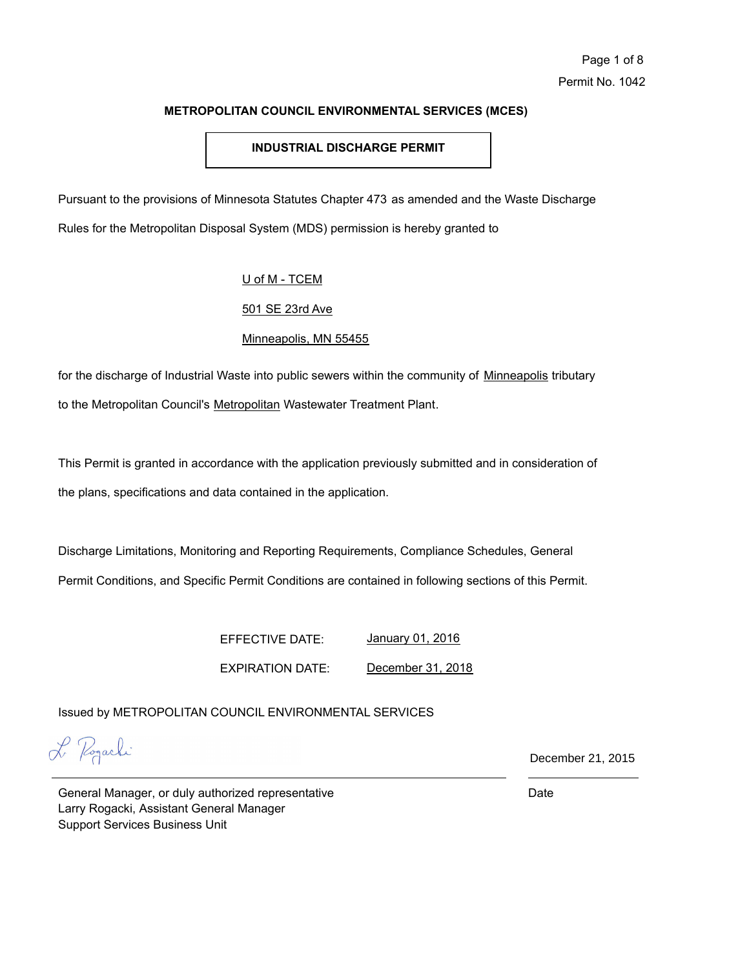# **INDUSTRIAL DISCHARGE PERMIT**

Pursuant to the provisions of Minnesota Statutes Chapter 473 as amended and the Waste Discharge Rules for the Metropolitan Disposal System (MDS) permission is hereby granted to

# U of M - TCEM

# 501 SE 23rd Ave

# Minneapolis, MN 55455

for the discharge of Industrial Waste into public sewers within the community of Minneapolis tributary to the Metropolitan Council's Metropolitan Wastewater Treatment Plant.

This Permit is granted in accordance with the application previously submitted and in consideration of the plans, specifications and data contained in the application.

Discharge Limitations, Monitoring and Reporting Requirements, Compliance Schedules, General

Permit Conditions, and Specific Permit Conditions are contained in following sections of this Permit.

EFFECTIVE DATE: EXPIRATION DATE: January 01, 2016 December 31, 2018

Issued by METROPOLITAN COUNCIL ENVIRONMENTAL SERVICES

L Pogarki

December 21, 2015

General Manager, or duly authorized representative Larry Rogacki, Assistant General Manager Support Services Business Unit

Date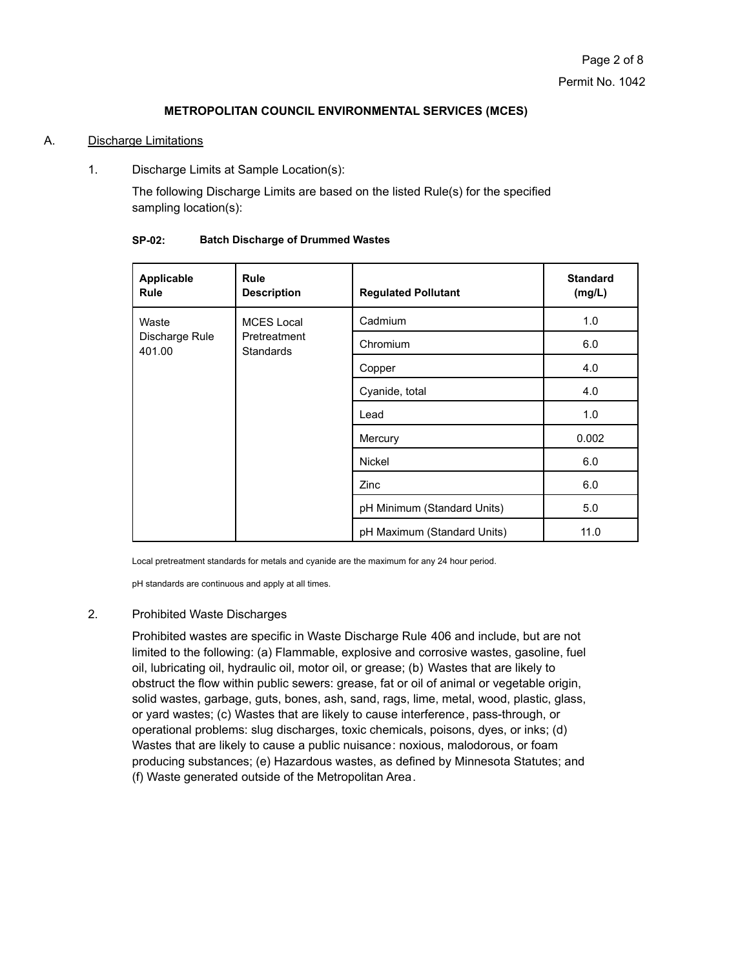# A. Discharge Limitations

1. Discharge Limits at Sample Location(s):

The following Discharge Limits are based on the listed Rule(s) for the specified sampling location(s):

| Applicable<br><b>Rule</b>         | <b>Rule</b><br><b>Description</b>                     | <b>Regulated Pollutant</b>  | <b>Standard</b><br>(mg/L) |
|-----------------------------------|-------------------------------------------------------|-----------------------------|---------------------------|
| Waste<br>Discharge Rule<br>401.00 | <b>MCES</b> Local<br>Pretreatment<br><b>Standards</b> | Cadmium                     | 1.0                       |
|                                   |                                                       | Chromium                    | 6.0                       |
|                                   |                                                       | Copper                      | 4.0                       |
|                                   |                                                       | Cyanide, total              | 4.0                       |
|                                   |                                                       | Lead                        | 1.0                       |
|                                   |                                                       | Mercury                     | 0.002                     |
|                                   |                                                       | <b>Nickel</b>               | 6.0                       |
|                                   |                                                       | Zinc                        | 6.0                       |
|                                   |                                                       | pH Minimum (Standard Units) | 5.0                       |
|                                   |                                                       | pH Maximum (Standard Units) | 11.0                      |

#### **SP-02: Batch Discharge of Drummed Wastes**

Local pretreatment standards for metals and cyanide are the maximum for any 24 hour period.

pH standards are continuous and apply at all times.

# 2. Prohibited Waste Discharges

Prohibited wastes are specific in Waste Discharge Rule 406 and include, but are not limited to the following: (a) Flammable, explosive and corrosive wastes, gasoline, fuel oil, lubricating oil, hydraulic oil, motor oil, or grease; (b) Wastes that are likely to obstruct the flow within public sewers: grease, fat or oil of animal or vegetable origin, solid wastes, garbage, guts, bones, ash, sand, rags, lime, metal, wood, plastic, glass, or yard wastes; (c) Wastes that are likely to cause interference, pass-through, or operational problems: slug discharges, toxic chemicals, poisons, dyes, or inks; (d) Wastes that are likely to cause a public nuisance: noxious, malodorous, or foam producing substances; (e) Hazardous wastes, as defined by Minnesota Statutes; and (f) Waste generated outside of the Metropolitan Area.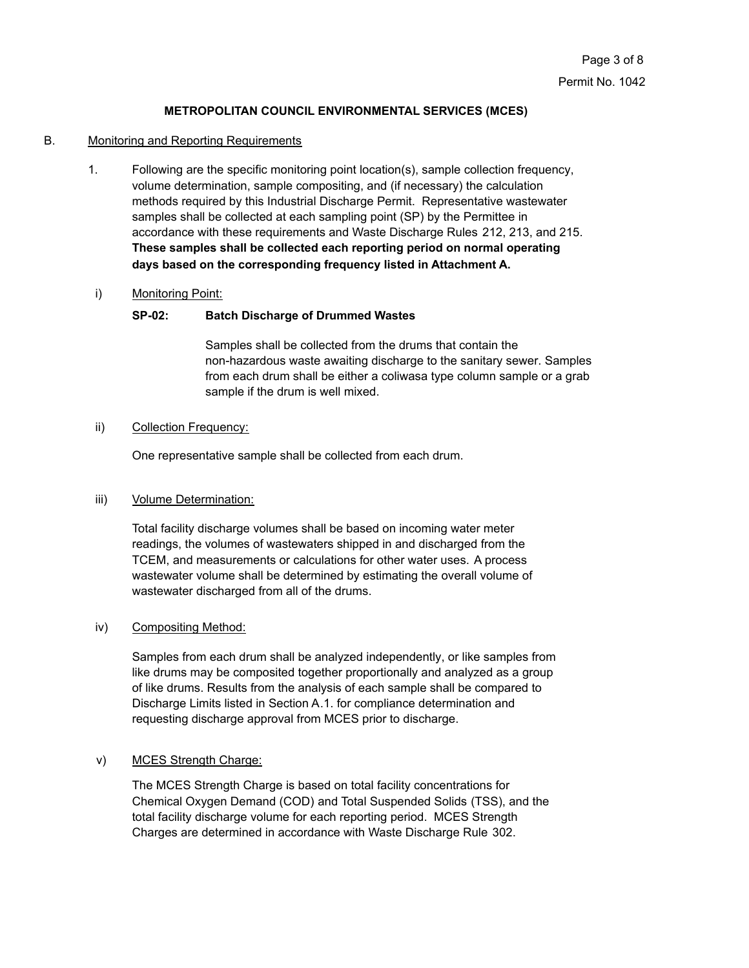#### B. Monitoring and Reporting Requirements

1. Following are the specific monitoring point location(s), sample collection frequency, volume determination, sample compositing, and (if necessary) the calculation methods required by this Industrial Discharge Permit. Representative wastewater samples shall be collected at each sampling point (SP) by the Permittee in accordance with these requirements and Waste Discharge Rules 212, 213, and 215. **These samples shall be collected each reporting period on normal operating days based on the corresponding frequency listed in Attachment A.**

#### i) Monitoring Point:

## **SP-02: Batch Discharge of Drummed Wastes**

Samples shall be collected from the drums that contain the non-hazardous waste awaiting discharge to the sanitary sewer. Samples from each drum shall be either a coliwasa type column sample or a grab sample if the drum is well mixed.

#### ii) Collection Frequency:

One representative sample shall be collected from each drum.

## iii) Volume Determination:

Total facility discharge volumes shall be based on incoming water meter readings, the volumes of wastewaters shipped in and discharged from the TCEM, and measurements or calculations for other water uses. A process wastewater volume shall be determined by estimating the overall volume of wastewater discharged from all of the drums.

## iv) Compositing Method:

Samples from each drum shall be analyzed independently, or like samples from like drums may be composited together proportionally and analyzed as a group of like drums. Results from the analysis of each sample shall be compared to Discharge Limits listed in Section A.1. for compliance determination and requesting discharge approval from MCES prior to discharge.

# v) MCES Strength Charge:

The MCES Strength Charge is based on total facility concentrations for Chemical Oxygen Demand (COD) and Total Suspended Solids (TSS), and the total facility discharge volume for each reporting period. MCES Strength Charges are determined in accordance with Waste Discharge Rule 302.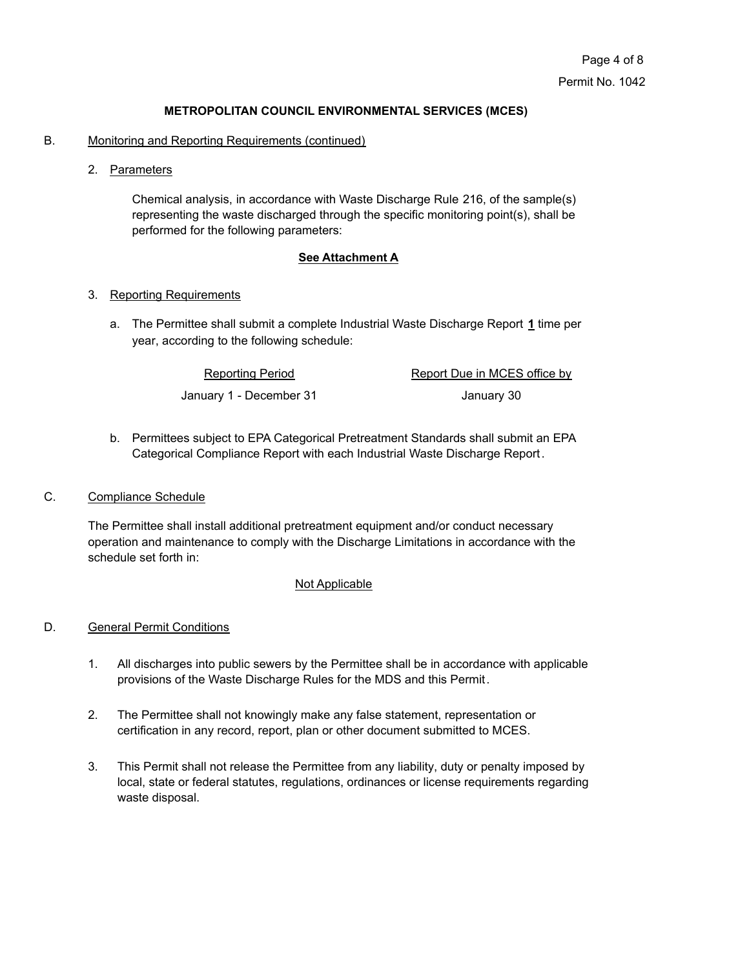- B. Monitoring and Reporting Requirements (continued)
	- 2. Parameters

Chemical analysis, in accordance with Waste Discharge Rule 216, of the sample(s) representing the waste discharged through the specific monitoring point(s), shall be performed for the following parameters:

#### **See Attachment A**

#### 3. Reporting Requirements

The Permittee shall submit a complete Industrial Waste Discharge Report **1** time per a. year, according to the following schedule:

> Reporting Period Report Due in MCES office by January 1 - December 31 January 30

b. Permittees subject to EPA Categorical Pretreatment Standards shall submit an EPA Categorical Compliance Report with each Industrial Waste Discharge Report.

#### C. Compliance Schedule

The Permittee shall install additional pretreatment equipment and/or conduct necessary operation and maintenance to comply with the Discharge Limitations in accordance with the schedule set forth in:

#### Not Applicable

## D. General Permit Conditions

- 1. All discharges into public sewers by the Permittee shall be in accordance with applicable provisions of the Waste Discharge Rules for the MDS and this Permit.
- 2. The Permittee shall not knowingly make any false statement, representation or certification in any record, report, plan or other document submitted to MCES.
- 3. This Permit shall not release the Permittee from any liability, duty or penalty imposed by local, state or federal statutes, regulations, ordinances or license requirements regarding waste disposal.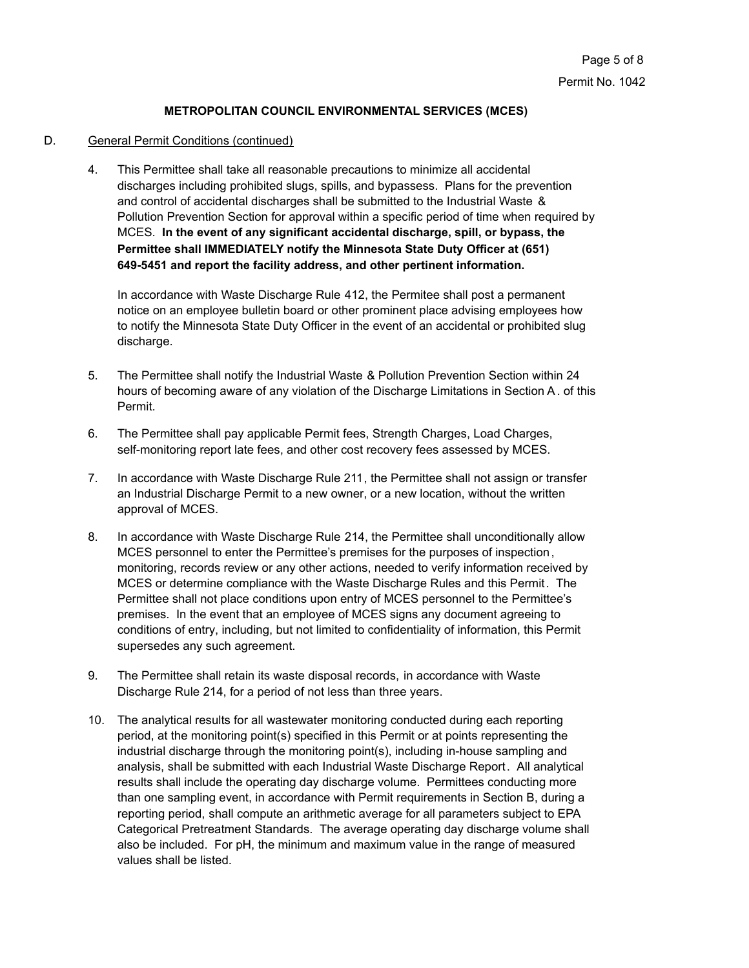# D. General Permit Conditions (continued)

4. This Permittee shall take all reasonable precautions to minimize all accidental discharges including prohibited slugs, spills, and bypassess. Plans for the prevention and control of accidental discharges shall be submitted to the Industrial Waste & Pollution Prevention Section for approval within a specific period of time when required by MCES. **In the event of any significant accidental discharge, spill, or bypass, the Permittee shall IMMEDIATELY notify the Minnesota State Duty Officer at (651) 649-5451 and report the facility address, and other pertinent information.**

In accordance with Waste Discharge Rule 412, the Permitee shall post a permanent notice on an employee bulletin board or other prominent place advising employees how to notify the Minnesota State Duty Officer in the event of an accidental or prohibited slug discharge.

- 5. The Permittee shall notify the Industrial Waste & Pollution Prevention Section within 24 hours of becoming aware of any violation of the Discharge Limitations in Section A. of this Permit.
- 6. The Permittee shall pay applicable Permit fees, Strength Charges, Load Charges, self-monitoring report late fees, and other cost recovery fees assessed by MCES.
- 7. In accordance with Waste Discharge Rule 211, the Permittee shall not assign or transfer an Industrial Discharge Permit to a new owner, or a new location, without the written approval of MCES.
- 8. In accordance with Waste Discharge Rule 214, the Permittee shall unconditionally allow MCES personnel to enter the Permittee's premises for the purposes of inspection, monitoring, records review or any other actions, needed to verify information received by MCES or determine compliance with the Waste Discharge Rules and this Permit. The Permittee shall not place conditions upon entry of MCES personnel to the Permittee's premises. In the event that an employee of MCES signs any document agreeing to conditions of entry, including, but not limited to confidentiality of information, this Permit supersedes any such agreement.
- 9. The Permittee shall retain its waste disposal records, in accordance with Waste Discharge Rule 214, for a period of not less than three years.
- 10. The analytical results for all wastewater monitoring conducted during each reporting period, at the monitoring point(s) specified in this Permit or at points representing the industrial discharge through the monitoring point(s), including in-house sampling and analysis, shall be submitted with each Industrial Waste Discharge Report. All analytical results shall include the operating day discharge volume. Permittees conducting more than one sampling event, in accordance with Permit requirements in Section B, during a reporting period, shall compute an arithmetic average for all parameters subject to EPA Categorical Pretreatment Standards. The average operating day discharge volume shall also be included. For pH, the minimum and maximum value in the range of measured values shall be listed.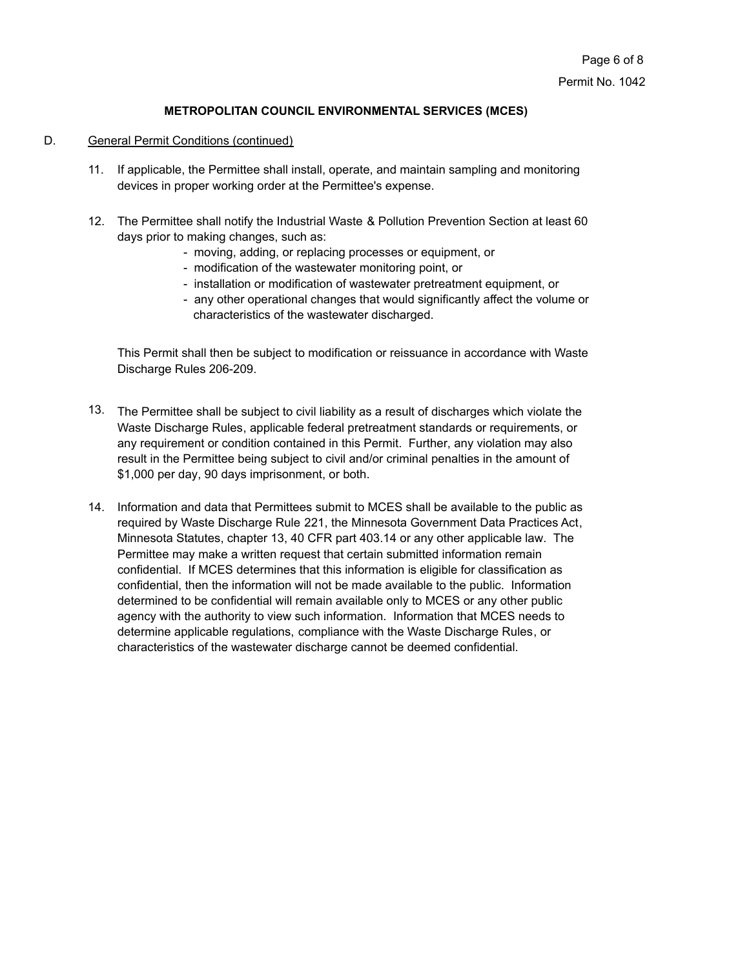# D. General Permit Conditions (continued)

- 11. If applicable, the Permittee shall install, operate, and maintain sampling and monitoring devices in proper working order at the Permittee's expense.
- 12. The Permittee shall notify the Industrial Waste & Pollution Prevention Section at least 60 days prior to making changes, such as:
	- moving, adding, or replacing processes or equipment, or
	- modification of the wastewater monitoring point, or
	- installation or modification of wastewater pretreatment equipment, or
	- any other operational changes that would significantly affect the volume or characteristics of the wastewater discharged.

This Permit shall then be subject to modification or reissuance in accordance with Waste Discharge Rules 206-209.

- 13. The Permittee shall be subject to civil liability as a result of discharges which violate the Waste Discharge Rules, applicable federal pretreatment standards or requirements, or any requirement or condition contained in this Permit. Further, any violation may also result in the Permittee being subject to civil and/or criminal penalties in the amount of \$1,000 per day, 90 days imprisonment, or both.
- 14. Information and data that Permittees submit to MCES shall be available to the public as required by Waste Discharge Rule 221, the Minnesota Government Data Practices Act, Minnesota Statutes, chapter 13, 40 CFR part 403.14 or any other applicable law. The Permittee may make a written request that certain submitted information remain confidential. If MCES determines that this information is eligible for classification as confidential, then the information will not be made available to the public. Information determined to be confidential will remain available only to MCES or any other public agency with the authority to view such information. Information that MCES needs to determine applicable regulations, compliance with the Waste Discharge Rules, or characteristics of the wastewater discharge cannot be deemed confidential.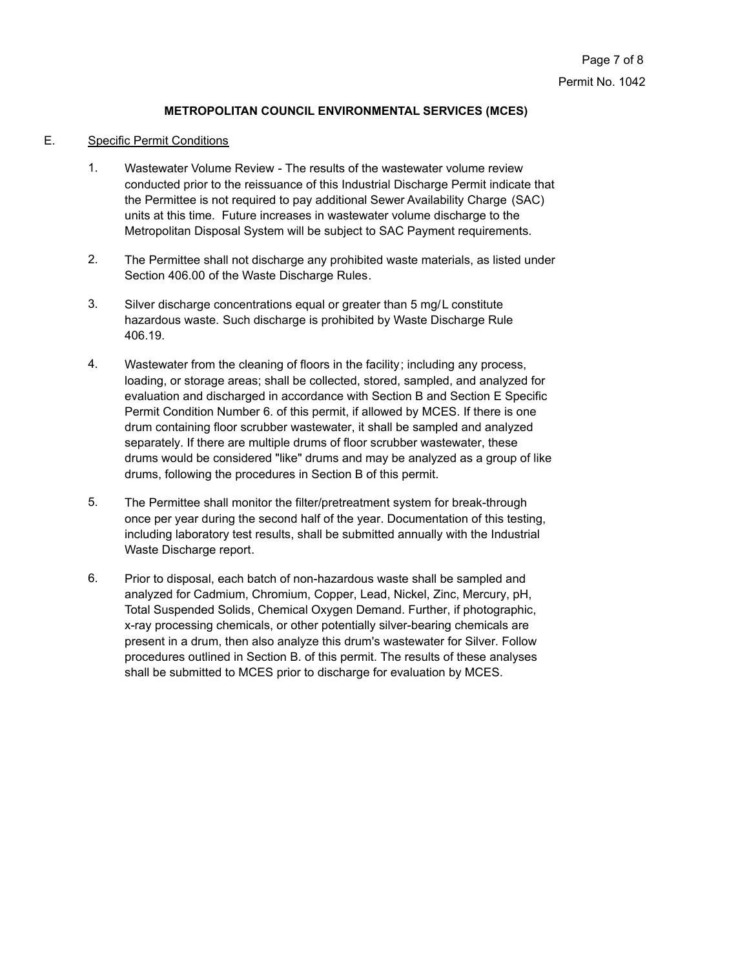## E. Specific Permit Conditions

- Wastewater Volume Review The results of the wastewater volume review conducted prior to the reissuance of this Industrial Discharge Permit indicate that the Permittee is not required to pay additional Sewer Availability Charge (SAC) units at this time. Future increases in wastewater volume discharge to the Metropolitan Disposal System will be subject to SAC Payment requirements. 1.
- The Permittee shall not discharge any prohibited waste materials, as listed under Section 406.00 of the Waste Discharge Rules. 2.
- Silver discharge concentrations equal or greater than 5 mg/L constitute hazardous waste. Such discharge is prohibited by Waste Discharge Rule 406.19. 3.
- Wastewater from the cleaning of floors in the facility; including any process, loading, or storage areas; shall be collected, stored, sampled, and analyzed for evaluation and discharged in accordance with Section B and Section E Specific Permit Condition Number 6. of this permit, if allowed by MCES. If there is one drum containing floor scrubber wastewater, it shall be sampled and analyzed separately. If there are multiple drums of floor scrubber wastewater, these drums would be considered "like" drums and may be analyzed as a group of like drums, following the procedures in Section B of this permit. 4.
- The Permittee shall monitor the filter/pretreatment system for break-through once per year during the second half of the year. Documentation of this testing, including laboratory test results, shall be submitted annually with the Industrial Waste Discharge report. 5.
- Prior to disposal, each batch of non-hazardous waste shall be sampled and analyzed for Cadmium, Chromium, Copper, Lead, Nickel, Zinc, Mercury, pH, Total Suspended Solids, Chemical Oxygen Demand. Further, if photographic, x-ray processing chemicals, or other potentially silver-bearing chemicals are present in a drum, then also analyze this drum's wastewater for Silver. Follow procedures outlined in Section B. of this permit. The results of these analyses shall be submitted to MCES prior to discharge for evaluation by MCES. 6.